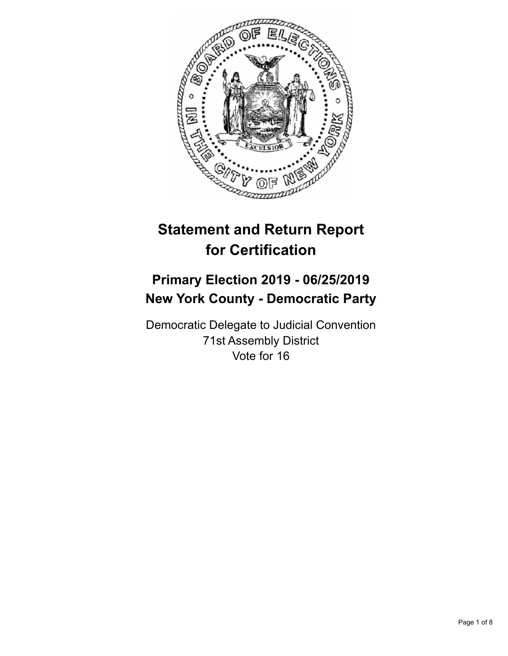

# **Statement and Return Report for Certification**

# **Primary Election 2019 - 06/25/2019 New York County - Democratic Party**

Democratic Delegate to Judicial Convention 71st Assembly District Vote for 16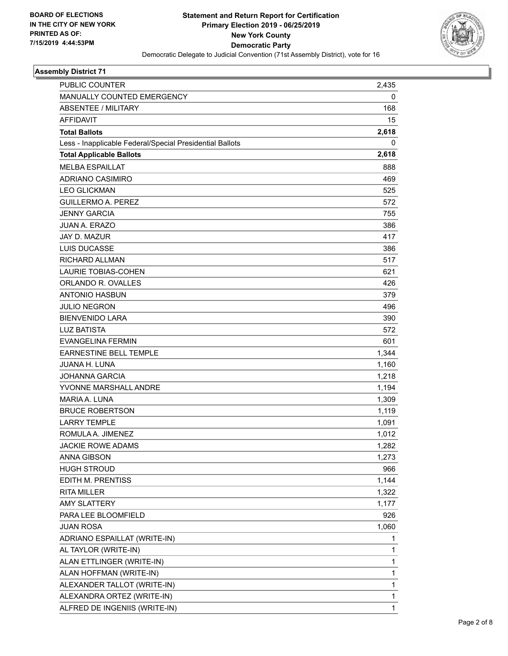

## **Assembly District 71**

| <b>PUBLIC COUNTER</b>                                    | 2,435 |
|----------------------------------------------------------|-------|
| MANUALLY COUNTED EMERGENCY                               | 0     |
| ABSENTEE / MILITARY                                      | 168   |
| <b>AFFIDAVIT</b>                                         | 15    |
| <b>Total Ballots</b>                                     | 2,618 |
| Less - Inapplicable Federal/Special Presidential Ballots | 0     |
| <b>Total Applicable Ballots</b>                          | 2,618 |
| <b>MELBA ESPAILLAT</b>                                   | 888   |
| <b>ADRIANO CASIMIRO</b>                                  | 469   |
| <b>LEO GLICKMAN</b>                                      | 525   |
| <b>GUILLERMO A. PEREZ</b>                                | 572   |
| <b>JENNY GARCIA</b>                                      | 755   |
| <b>JUAN A. ERAZO</b>                                     | 386   |
| JAY D. MAZUR                                             | 417   |
| LUIS DUCASSE                                             | 386   |
| RICHARD ALLMAN                                           | 517   |
| LAURIE TOBIAS-COHEN                                      | 621   |
| ORLANDO R. OVALLES                                       | 426   |
| <b>ANTONIO HASBUN</b>                                    | 379   |
| <b>JULIO NEGRON</b>                                      | 496   |
| <b>BIENVENIDO LARA</b>                                   | 390   |
| <b>LUZ BATISTA</b>                                       | 572   |
| <b>EVANGELINA FERMIN</b>                                 | 601   |
| <b>EARNESTINE BELL TEMPLE</b>                            | 1,344 |
| <b>JUANA H. LUNA</b>                                     | 1,160 |
| JOHANNA GARCIA                                           | 1,218 |
| YVONNE MARSHALL ANDRE                                    | 1,194 |
| MARIA A. LUNA                                            | 1,309 |
| <b>BRUCE ROBERTSON</b>                                   | 1,119 |
| <b>LARRY TEMPLE</b>                                      | 1,091 |
| ROMULA A. JIMENEZ                                        | 1,012 |
| <b>JACKIE ROWE ADAMS</b>                                 | 1,282 |
| <b>ANNA GIBSON</b>                                       | 1,273 |
| <b>HUGH STROUD</b>                                       | 966   |
| EDITH M. PRENTISS                                        | 1,144 |
| <b>RITA MILLER</b>                                       | 1,322 |
| <b>AMY SLATTERY</b>                                      | 1,177 |
| PARA LEE BLOOMFIELD                                      | 926   |
| <b>JUAN ROSA</b>                                         | 1,060 |
| ADRIANO ESPAILLAT (WRITE-IN)                             | 1     |
| AL TAYLOR (WRITE-IN)                                     | 1     |
| ALAN ETTLINGER (WRITE-IN)                                | 1     |
| ALAN HOFFMAN (WRITE-IN)                                  | 1     |
| ALEXANDER TALLOT (WRITE-IN)                              | 1     |
| ALEXANDRA ORTEZ (WRITE-IN)                               | 1     |
| ALFRED DE INGENIIS (WRITE-IN)                            | 1     |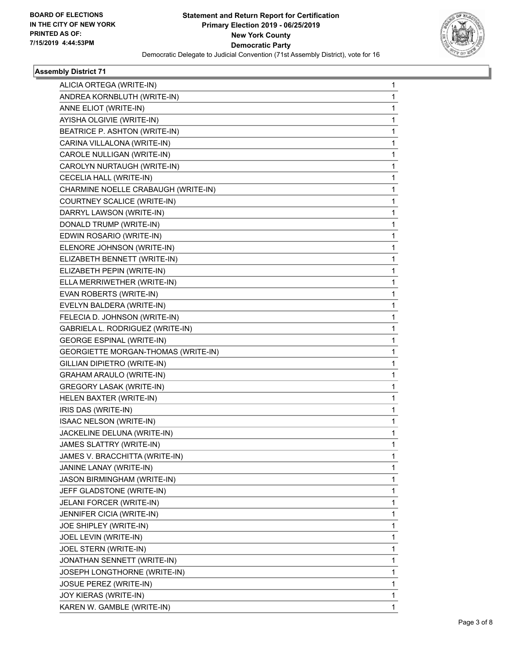

## **Assembly District 71**

| ALICIA ORTEGA (WRITE-IN)            | 1 |
|-------------------------------------|---|
| ANDREA KORNBLUTH (WRITE-IN)         | 1 |
| ANNE ELIOT (WRITE-IN)               | 1 |
| AYISHA OLGIVIE (WRITE-IN)           | 1 |
| BEATRICE P. ASHTON (WRITE-IN)       | 1 |
| CARINA VILLALONA (WRITE-IN)         | 1 |
| CAROLE NULLIGAN (WRITE-IN)          | 1 |
| CAROLYN NURTAUGH (WRITE-IN)         | 1 |
| CECELIA HALL (WRITE-IN)             | 1 |
| CHARMINE NOELLE CRABAUGH (WRITE-IN) | 1 |
| COURTNEY SCALICE (WRITE-IN)         | 1 |
| DARRYL LAWSON (WRITE-IN)            | 1 |
| DONALD TRUMP (WRITE-IN)             | 1 |
| EDWIN ROSARIO (WRITE-IN)            | 1 |
| ELENORE JOHNSON (WRITE-IN)          | 1 |
| ELIZABETH BENNETT (WRITE-IN)        | 1 |
| ELIZABETH PEPIN (WRITE-IN)          | 1 |
| ELLA MERRIWETHER (WRITE-IN)         | 1 |
| EVAN ROBERTS (WRITE-IN)             | 1 |
| EVELYN BALDERA (WRITE-IN)           | 1 |
| FELECIA D. JOHNSON (WRITE-IN)       | 1 |
| GABRIELA L. RODRIGUEZ (WRITE-IN)    | 1 |
| <b>GEORGE ESPINAL (WRITE-IN)</b>    | 1 |
| GEORGIETTE MORGAN-THOMAS (WRITE-IN) | 1 |
| GILLIAN DIPIETRO (WRITE-IN)         | 1 |
| <b>GRAHAM ARAULO (WRITE-IN)</b>     | 1 |
| GREGORY LASAK (WRITE-IN)            | 1 |
| HELEN BAXTER (WRITE-IN)             | 1 |
| IRIS DAS (WRITE-IN)                 | 1 |
| ISAAC NELSON (WRITE-IN)             | 1 |
| JACKELINE DELUNA (WRITE-IN)         | 1 |
| JAMES SLATTRY (WRITE-IN)            | 1 |
| JAMES V. BRACCHITTA (WRITE-IN)      | 1 |
| JANINE LANAY (WRITE-IN)             | 1 |
| JASON BIRMINGHAM (WRITE-IN)         | 1 |
| JEFF GLADSTONE (WRITE-IN)           | 1 |
| JELANI FORCER (WRITE-IN)            | 1 |
| JENNIFER CICIA (WRITE-IN)           | 1 |
| JOE SHIPLEY (WRITE-IN)              | 1 |
| JOEL LEVIN (WRITE-IN)               | 1 |
| JOEL STERN (WRITE-IN)               | 1 |
| JONATHAN SENNETT (WRITE-IN)         | 1 |
| JOSEPH LONGTHORNE (WRITE-IN)        | 1 |
| <b>JOSUE PEREZ (WRITE-IN)</b>       | 1 |
| JOY KIERAS (WRITE-IN)               | 1 |
| KAREN W. GAMBLE (WRITE-IN)          | 1 |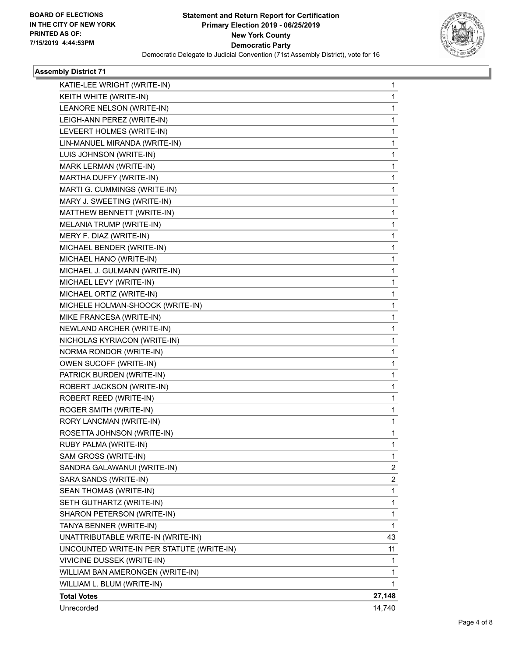

## **Assembly District 71**

| KATIE-LEE WRIGHT (WRITE-IN)               | 1              |
|-------------------------------------------|----------------|
| KEITH WHITE (WRITE-IN)                    | 1              |
| LEANORE NELSON (WRITE-IN)                 | 1              |
| LEIGH-ANN PEREZ (WRITE-IN)                | 1              |
| LEVEERT HOLMES (WRITE-IN)                 | 1              |
| LIN-MANUEL MIRANDA (WRITE-IN)             | 1              |
| LUIS JOHNSON (WRITE-IN)                   | 1              |
| MARK LERMAN (WRITE-IN)                    | 1              |
| MARTHA DUFFY (WRITE-IN)                   | 1              |
| MARTI G. CUMMINGS (WRITE-IN)              | 1              |
| MARY J. SWEETING (WRITE-IN)               | 1              |
| MATTHEW BENNETT (WRITE-IN)                | 1              |
| MELANIA TRUMP (WRITE-IN)                  | 1              |
| MERY F. DIAZ (WRITE-IN)                   | 1              |
| MICHAEL BENDER (WRITE-IN)                 | 1              |
| MICHAEL HANO (WRITE-IN)                   | 1              |
| MICHAEL J. GULMANN (WRITE-IN)             | 1              |
| MICHAEL LEVY (WRITE-IN)                   | 1              |
| MICHAEL ORTIZ (WRITE-IN)                  | 1              |
| MICHELE HOLMAN-SHOOCK (WRITE-IN)          | 1              |
| MIKE FRANCESA (WRITE-IN)                  | 1              |
| NEWLAND ARCHER (WRITE-IN)                 | 1              |
| NICHOLAS KYRIACON (WRITE-IN)              | 1              |
| NORMA RONDOR (WRITE-IN)                   | 1              |
| OWEN SUCOFF (WRITE-IN)                    | 1              |
| PATRICK BURDEN (WRITE-IN)                 | 1              |
| ROBERT JACKSON (WRITE-IN)                 | 1              |
| ROBERT REED (WRITE-IN)                    | 1              |
| ROGER SMITH (WRITE-IN)                    | 1              |
| RORY LANCMAN (WRITE-IN)                   | 1              |
| ROSETTA JOHNSON (WRITE-IN)                | 1              |
| RUBY PALMA (WRITE-IN)                     | 1              |
| SAM GROSS (WRITE-IN)                      | 1              |
| SANDRA GALAWANUI (WRITE-IN)               | $\overline{2}$ |
| SARA SANDS (WRITE-IN)                     | 2              |
| SEAN THOMAS (WRITE-IN)                    | $\mathbf{1}$   |
| SETH GUTHARTZ (WRITE-IN)                  | 1              |
| SHARON PETERSON (WRITE-IN)                | 1              |
| TANYA BENNER (WRITE-IN)                   | $\mathbf{1}$   |
| UNATTRIBUTABLE WRITE-IN (WRITE-IN)        | 43             |
| UNCOUNTED WRITE-IN PER STATUTE (WRITE-IN) | 11             |
| VIVICINE DUSSEK (WRITE-IN)                | 1              |
| WILLIAM BAN AMERONGEN (WRITE-IN)          | 1              |
| WILLIAM L. BLUM (WRITE-IN)                | 1              |
| <b>Total Votes</b>                        | 27,148         |
| Unrecorded                                | 14,740         |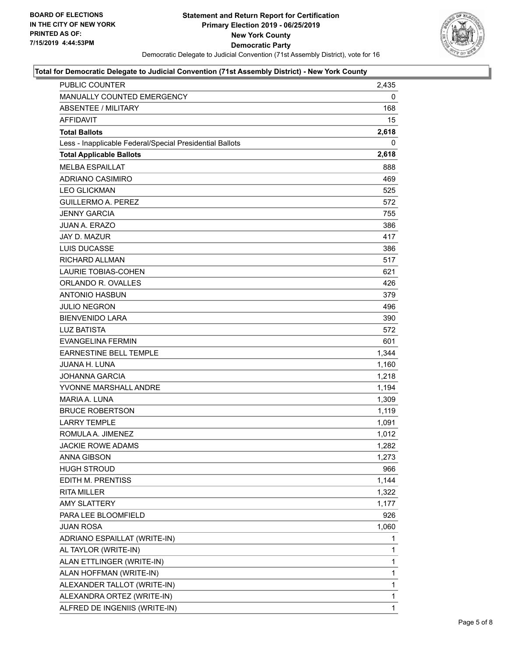

#### **Total for Democratic Delegate to Judicial Convention (71st Assembly District) - New York County**

| PUBLIC COUNTER                                           | 2,435 |
|----------------------------------------------------------|-------|
| MANUALLY COUNTED EMERGENCY                               | 0     |
| <b>ABSENTEE / MILITARY</b>                               | 168   |
| <b>AFFIDAVIT</b>                                         | 15    |
| <b>Total Ballots</b>                                     | 2,618 |
| Less - Inapplicable Federal/Special Presidential Ballots | 0     |
| <b>Total Applicable Ballots</b>                          | 2,618 |
| <b>MELBA ESPAILLAT</b>                                   | 888   |
| <b>ADRIANO CASIMIRO</b>                                  | 469   |
| <b>LEO GLICKMAN</b>                                      | 525   |
| <b>GUILLERMO A. PEREZ</b>                                | 572   |
| <b>JENNY GARCIA</b>                                      | 755   |
| <b>JUAN A. ERAZO</b>                                     | 386   |
| JAY D. MAZUR                                             | 417   |
| <b>LUIS DUCASSE</b>                                      | 386   |
| <b>RICHARD ALLMAN</b>                                    | 517   |
| <b>LAURIE TOBIAS-COHEN</b>                               | 621   |
| ORLANDO R. OVALLES                                       | 426   |
| <b>ANTONIO HASBUN</b>                                    | 379   |
| <b>JULIO NEGRON</b>                                      | 496   |
| <b>BIENVENIDO LARA</b>                                   | 390   |
| <b>LUZ BATISTA</b>                                       | 572   |
| <b>EVANGELINA FERMIN</b>                                 | 601   |
| <b>EARNESTINE BELL TEMPLE</b>                            | 1,344 |
| <b>JUANA H. LUNA</b>                                     | 1,160 |
| <b>JOHANNA GARCIA</b>                                    | 1,218 |
| YVONNE MARSHALL ANDRE                                    | 1,194 |
| MARIA A. LUNA                                            | 1,309 |
| <b>BRUCE ROBERTSON</b>                                   | 1,119 |
| <b>LARRY TEMPLE</b>                                      | 1,091 |
| ROMULA A. JIMENEZ                                        | 1,012 |
| <b>JACKIE ROWE ADAMS</b>                                 | 1,282 |
| ANNA GIBSON                                              | 1,273 |
| <b>HUGH STROUD</b>                                       | 966   |
| EDITH M. PRENTISS                                        | 1,144 |
| <b>RITA MILLER</b>                                       | 1,322 |
| <b>AMY SLATTERY</b>                                      | 1,177 |
| PARA LEE BLOOMFIELD                                      | 926   |
| <b>JUAN ROSA</b>                                         | 1,060 |
| ADRIANO ESPAILLAT (WRITE-IN)                             | 1     |
| AL TAYLOR (WRITE-IN)                                     | 1     |
| ALAN ETTLINGER (WRITE-IN)                                | 1     |
| ALAN HOFFMAN (WRITE-IN)                                  | 1     |
| ALEXANDER TALLOT (WRITE-IN)                              | 1     |
| ALEXANDRA ORTEZ (WRITE-IN)                               | 1     |
| ALFRED DE INGENIIS (WRITE-IN)                            | 1     |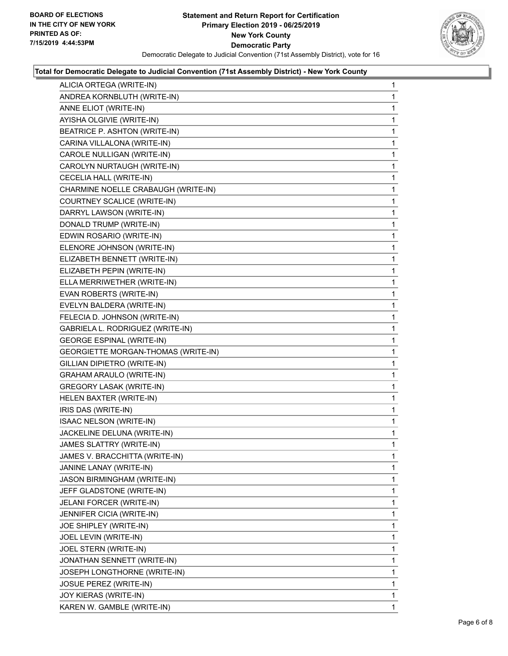

#### **Total for Democratic Delegate to Judicial Convention (71st Assembly District) - New York County**

| ALICIA ORTEGA (WRITE-IN)            | 1            |
|-------------------------------------|--------------|
| ANDREA KORNBLUTH (WRITE-IN)         | 1            |
| ANNE ELIOT (WRITE-IN)               | 1            |
| AYISHA OLGIVIE (WRITE-IN)           | 1            |
| BEATRICE P. ASHTON (WRITE-IN)       | 1            |
| CARINA VILLALONA (WRITE-IN)         | 1            |
| CAROLE NULLIGAN (WRITE-IN)          | 1            |
| CAROLYN NURTAUGH (WRITE-IN)         | 1            |
| CECELIA HALL (WRITE-IN)             | 1            |
| CHARMINE NOELLE CRABAUGH (WRITE-IN) | 1            |
| COURTNEY SCALICE (WRITE-IN)         | 1            |
| DARRYL LAWSON (WRITE-IN)            | 1            |
| DONALD TRUMP (WRITE-IN)             | 1            |
| EDWIN ROSARIO (WRITE-IN)            | 1            |
| ELENORE JOHNSON (WRITE-IN)          | 1            |
| ELIZABETH BENNETT (WRITE-IN)        | 1            |
| ELIZABETH PEPIN (WRITE-IN)          | 1            |
| ELLA MERRIWETHER (WRITE-IN)         | 1            |
| EVAN ROBERTS (WRITE-IN)             | 1            |
| EVELYN BALDERA (WRITE-IN)           | 1            |
| FELECIA D. JOHNSON (WRITE-IN)       | 1            |
| GABRIELA L. RODRIGUEZ (WRITE-IN)    | 1            |
| <b>GEORGE ESPINAL (WRITE-IN)</b>    | 1            |
| GEORGIETTE MORGAN-THOMAS (WRITE-IN) | 1            |
| GILLIAN DIPIETRO (WRITE-IN)         | 1            |
| <b>GRAHAM ARAULO (WRITE-IN)</b>     | 1            |
| GREGORY LASAK (WRITE-IN)            | 1            |
| HELEN BAXTER (WRITE-IN)             | 1            |
| IRIS DAS (WRITE-IN)                 | 1            |
| ISAAC NELSON (WRITE-IN)             | 1            |
| JACKELINE DELUNA (WRITE-IN)         | 1            |
| JAMES SLATTRY (WRITE-IN)            | 1            |
| JAMES V. BRACCHITTA (WRITE-IN)      | 1            |
| JANINE LANAY (WRITE-IN)             | 1            |
| JASON BIRMINGHAM (WRITE-IN)         | 1            |
| JEFF GLADSTONE (WRITE-IN)           | 1            |
| JELANI FORCER (WRITE-IN)            | 1            |
| JENNIFER CICIA (WRITE-IN)           | 1            |
| JOE SHIPLEY (WRITE-IN)              | 1            |
| JOEL LEVIN (WRITE-IN)               | 1            |
| JOEL STERN (WRITE-IN)               | 1            |
| JONATHAN SENNETT (WRITE-IN)         | 1            |
| JOSEPH LONGTHORNE (WRITE-IN)        | 1            |
| <b>JOSUE PEREZ (WRITE-IN)</b>       | 1            |
| JOY KIERAS (WRITE-IN)               | 1            |
| KAREN W. GAMBLE (WRITE-IN)          | $\mathbf{1}$ |
|                                     |              |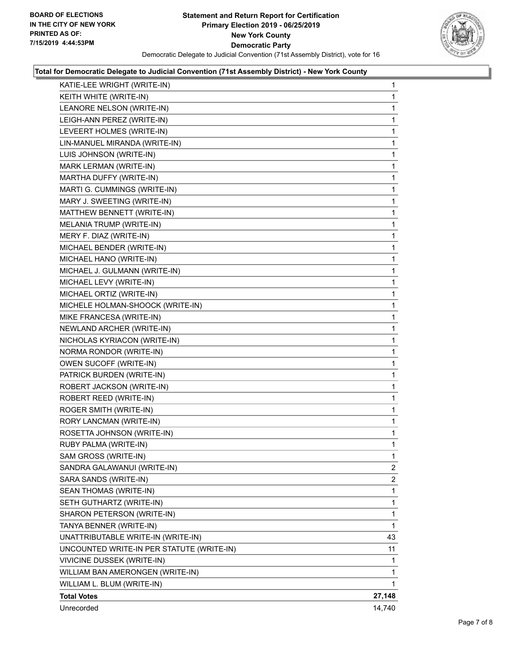

#### **Total for Democratic Delegate to Judicial Convention (71st Assembly District) - New York County**

| KATIE-LEE WRIGHT (WRITE-IN)               | 1              |
|-------------------------------------------|----------------|
| KEITH WHITE (WRITE-IN)                    | 1              |
| LEANORE NELSON (WRITE-IN)                 | 1              |
| LEIGH-ANN PEREZ (WRITE-IN)                | 1              |
| LEVEERT HOLMES (WRITE-IN)                 | 1              |
| LIN-MANUEL MIRANDA (WRITE-IN)             | 1              |
| LUIS JOHNSON (WRITE-IN)                   | 1              |
| MARK LERMAN (WRITE-IN)                    | 1              |
| MARTHA DUFFY (WRITE-IN)                   | 1              |
| MARTI G. CUMMINGS (WRITE-IN)              | 1              |
| MARY J. SWEETING (WRITE-IN)               | 1              |
| MATTHEW BENNETT (WRITE-IN)                | 1              |
| MELANIA TRUMP (WRITE-IN)                  | 1              |
| MERY F. DIAZ (WRITE-IN)                   | 1              |
| MICHAEL BENDER (WRITE-IN)                 | 1              |
| MICHAEL HANO (WRITE-IN)                   | 1              |
| MICHAEL J. GULMANN (WRITE-IN)             | 1              |
| MICHAEL LEVY (WRITE-IN)                   | 1              |
| MICHAEL ORTIZ (WRITE-IN)                  | 1              |
| MICHELE HOLMAN-SHOOCK (WRITE-IN)          | 1              |
| MIKE FRANCESA (WRITE-IN)                  | 1              |
| NEWLAND ARCHER (WRITE-IN)                 | 1              |
| NICHOLAS KYRIACON (WRITE-IN)              | 1              |
| NORMA RONDOR (WRITE-IN)                   | 1              |
| OWEN SUCOFF (WRITE-IN)                    | 1              |
| PATRICK BURDEN (WRITE-IN)                 | 1              |
| ROBERT JACKSON (WRITE-IN)                 | 1              |
| ROBERT REED (WRITE-IN)                    | 1              |
| ROGER SMITH (WRITE-IN)                    | 1              |
| RORY LANCMAN (WRITE-IN)                   | 1              |
| ROSETTA JOHNSON (WRITE-IN)                | 1              |
| RUBY PALMA (WRITE-IN)                     | 1              |
| SAM GROSS (WRITE-IN)                      | 1              |
| SANDRA GALAWANUI (WRITE-IN)               | $\overline{2}$ |
| SARA SANDS (WRITE-IN)                     | 2              |
| SEAN THOMAS (WRITE-IN)                    | 1              |
| SETH GUTHARTZ (WRITE-IN)                  | 1              |
| SHARON PETERSON (WRITE-IN)                | 1              |
| TANYA BENNER (WRITE-IN)                   | 1              |
| UNATTRIBUTABLE WRITE-IN (WRITE-IN)        | 43             |
| UNCOUNTED WRITE-IN PER STATUTE (WRITE-IN) | 11             |
| VIVICINE DUSSEK (WRITE-IN)                | 1              |
| WILLIAM BAN AMERONGEN (WRITE-IN)          | 1              |
| WILLIAM L. BLUM (WRITE-IN)                | 1              |
| <b>Total Votes</b>                        | 27,148         |
| Unrecorded                                | 14,740         |